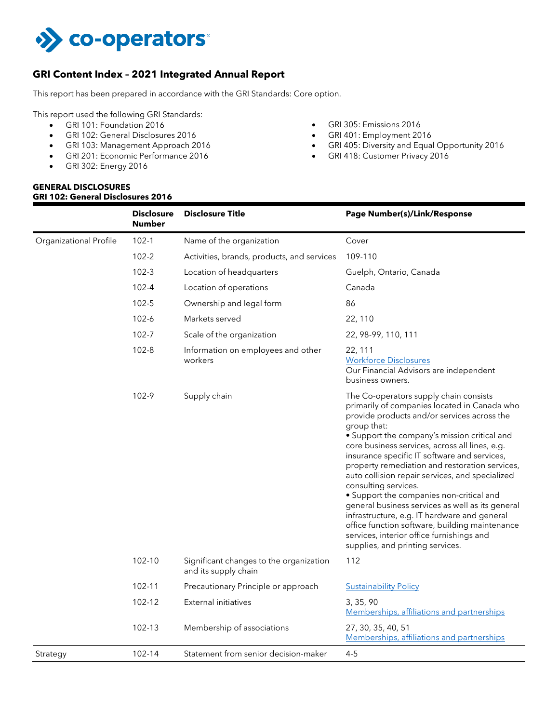

# **GRI Content Index – 2021 Integrated Annual Report**

This report has been prepared in accordance with the GRI Standards: Core option.

This report used the following GRI Standards:

- GRI 101: Foundation 2016
- GRI 102: General Disclosures 2016
- GRI 103: Management Approach 2016
- GRI 201: Economic Performance 2016
- GRI 302: Energy 2016

#### **GENERAL DISCLOSURES GRI 102: General Disclosures 2016**

- GRI 305: Emissions 2016
- GRI 401: Employment 2016
- GRI 405: Diversity and Equal Opportunity 2016
- GRI 418: Customer Privacy 2016

| Organizational Profile<br>$102 - 1$<br>Name of the organization<br>Cover<br>$102 - 2$<br>109-110<br>Activities, brands, products, and services<br>$102 - 3$<br>Location of headquarters<br>Guelph, Ontario, Canada<br>$102 - 4$<br>Location of operations<br>Canada<br>$102 - 5$<br>86<br>Ownership and legal form<br>$102 - 6$<br>Markets served<br>22, 110<br>$102 - 7$<br>Scale of the organization<br>22, 98-99, 110, 111<br>$102 - 8$<br>Information on employees and other<br>22, 111<br><b>Workforce Disclosures</b><br>workers<br>Our Financial Advisors are independent<br>business owners.<br>102-9<br>Supply chain<br>The Co-operators supply chain consists<br>primarily of companies located in Canada who<br>provide products and/or services across the<br>group that:<br>• Support the company's mission critical and<br>core business services, across all lines, e.g.<br>insurance specific IT software and services,<br>property remediation and restoration services,<br>auto collision repair services, and specialized<br>consulting services.<br>• Support the companies non-critical and<br>general business services as well as its general<br>infrastructure, e.g. IT hardware and general<br>office function software, building maintenance<br>services, interior office furnishings and<br>supplies, and printing services.<br>102-10<br>Significant changes to the organization<br>112<br>and its supply chain<br>102-11<br>Precautionary Principle or approach<br><b>Sustainability Policy</b><br><b>External initiatives</b><br>102-12<br>3, 35, 90<br>Memberships, affiliations and partnerships<br>102-13<br>Membership of associations<br>27, 30, 35, 40, 51<br>Memberships, affiliations and partnerships<br>$4 - 5$<br>102-14<br>Statement from senior decision-maker<br>Strategy |  | <b>Disclosure</b><br><b>Number</b> | <b>Disclosure Title</b> | <b>Page Number(s)/Link/Response</b> |
|-----------------------------------------------------------------------------------------------------------------------------------------------------------------------------------------------------------------------------------------------------------------------------------------------------------------------------------------------------------------------------------------------------------------------------------------------------------------------------------------------------------------------------------------------------------------------------------------------------------------------------------------------------------------------------------------------------------------------------------------------------------------------------------------------------------------------------------------------------------------------------------------------------------------------------------------------------------------------------------------------------------------------------------------------------------------------------------------------------------------------------------------------------------------------------------------------------------------------------------------------------------------------------------------------------------------------------------------------------------------------------------------------------------------------------------------------------------------------------------------------------------------------------------------------------------------------------------------------------------------------------------------------------------------------------------------------------------------------------------------------------------------------------------------------------------------------|--|------------------------------------|-------------------------|-------------------------------------|
|                                                                                                                                                                                                                                                                                                                                                                                                                                                                                                                                                                                                                                                                                                                                                                                                                                                                                                                                                                                                                                                                                                                                                                                                                                                                                                                                                                                                                                                                                                                                                                                                                                                                                                                                                                                                                       |  |                                    |                         |                                     |
|                                                                                                                                                                                                                                                                                                                                                                                                                                                                                                                                                                                                                                                                                                                                                                                                                                                                                                                                                                                                                                                                                                                                                                                                                                                                                                                                                                                                                                                                                                                                                                                                                                                                                                                                                                                                                       |  |                                    |                         |                                     |
|                                                                                                                                                                                                                                                                                                                                                                                                                                                                                                                                                                                                                                                                                                                                                                                                                                                                                                                                                                                                                                                                                                                                                                                                                                                                                                                                                                                                                                                                                                                                                                                                                                                                                                                                                                                                                       |  |                                    |                         |                                     |
|                                                                                                                                                                                                                                                                                                                                                                                                                                                                                                                                                                                                                                                                                                                                                                                                                                                                                                                                                                                                                                                                                                                                                                                                                                                                                                                                                                                                                                                                                                                                                                                                                                                                                                                                                                                                                       |  |                                    |                         |                                     |
|                                                                                                                                                                                                                                                                                                                                                                                                                                                                                                                                                                                                                                                                                                                                                                                                                                                                                                                                                                                                                                                                                                                                                                                                                                                                                                                                                                                                                                                                                                                                                                                                                                                                                                                                                                                                                       |  |                                    |                         |                                     |
|                                                                                                                                                                                                                                                                                                                                                                                                                                                                                                                                                                                                                                                                                                                                                                                                                                                                                                                                                                                                                                                                                                                                                                                                                                                                                                                                                                                                                                                                                                                                                                                                                                                                                                                                                                                                                       |  |                                    |                         |                                     |
|                                                                                                                                                                                                                                                                                                                                                                                                                                                                                                                                                                                                                                                                                                                                                                                                                                                                                                                                                                                                                                                                                                                                                                                                                                                                                                                                                                                                                                                                                                                                                                                                                                                                                                                                                                                                                       |  |                                    |                         |                                     |
|                                                                                                                                                                                                                                                                                                                                                                                                                                                                                                                                                                                                                                                                                                                                                                                                                                                                                                                                                                                                                                                                                                                                                                                                                                                                                                                                                                                                                                                                                                                                                                                                                                                                                                                                                                                                                       |  |                                    |                         |                                     |
|                                                                                                                                                                                                                                                                                                                                                                                                                                                                                                                                                                                                                                                                                                                                                                                                                                                                                                                                                                                                                                                                                                                                                                                                                                                                                                                                                                                                                                                                                                                                                                                                                                                                                                                                                                                                                       |  |                                    |                         |                                     |
|                                                                                                                                                                                                                                                                                                                                                                                                                                                                                                                                                                                                                                                                                                                                                                                                                                                                                                                                                                                                                                                                                                                                                                                                                                                                                                                                                                                                                                                                                                                                                                                                                                                                                                                                                                                                                       |  |                                    |                         |                                     |
|                                                                                                                                                                                                                                                                                                                                                                                                                                                                                                                                                                                                                                                                                                                                                                                                                                                                                                                                                                                                                                                                                                                                                                                                                                                                                                                                                                                                                                                                                                                                                                                                                                                                                                                                                                                                                       |  |                                    |                         |                                     |
|                                                                                                                                                                                                                                                                                                                                                                                                                                                                                                                                                                                                                                                                                                                                                                                                                                                                                                                                                                                                                                                                                                                                                                                                                                                                                                                                                                                                                                                                                                                                                                                                                                                                                                                                                                                                                       |  |                                    |                         |                                     |
|                                                                                                                                                                                                                                                                                                                                                                                                                                                                                                                                                                                                                                                                                                                                                                                                                                                                                                                                                                                                                                                                                                                                                                                                                                                                                                                                                                                                                                                                                                                                                                                                                                                                                                                                                                                                                       |  |                                    |                         |                                     |
|                                                                                                                                                                                                                                                                                                                                                                                                                                                                                                                                                                                                                                                                                                                                                                                                                                                                                                                                                                                                                                                                                                                                                                                                                                                                                                                                                                                                                                                                                                                                                                                                                                                                                                                                                                                                                       |  |                                    |                         |                                     |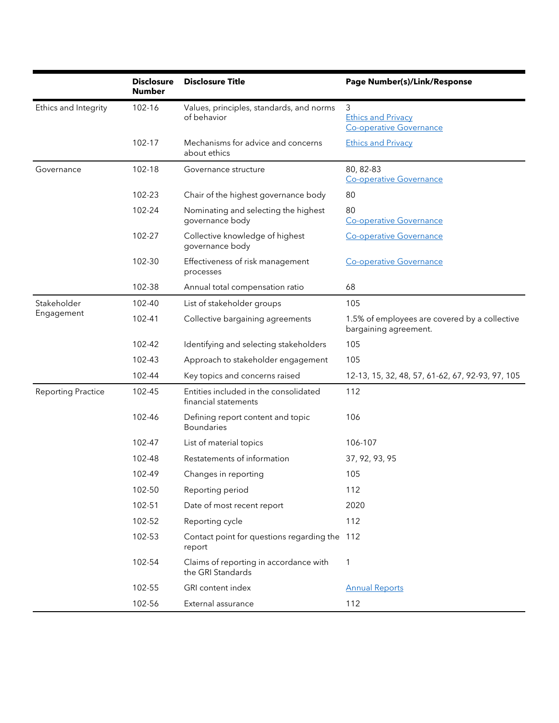|                           | <b>Disclosure</b><br><b>Number</b> | <b>Disclosure Title</b>                                       | Page Number(s)/Link/Response                                                  |
|---------------------------|------------------------------------|---------------------------------------------------------------|-------------------------------------------------------------------------------|
| Ethics and Integrity      | 102-16                             | Values, principles, standards, and norms<br>of behavior       | $\mathfrak{Z}$<br><b>Ethics and Privacy</b><br><b>Co-operative Governance</b> |
|                           | 102-17                             | Mechanisms for advice and concerns<br>about ethics            | <b>Ethics and Privacy</b>                                                     |
| Governance                | 102-18                             | Governance structure                                          | 80, 82-83<br><b>Co-operative Governance</b>                                   |
|                           | 102-23                             | Chair of the highest governance body                          | 80                                                                            |
|                           | 102-24                             | Nominating and selecting the highest<br>governance body       | 80<br><b>Co-operative Governance</b>                                          |
|                           | 102-27                             | Collective knowledge of highest<br>governance body            | <b>Co-operative Governance</b>                                                |
|                           | 102-30                             | Effectiveness of risk management<br>processes                 | <b>Co-operative Governance</b>                                                |
|                           | 102-38                             | Annual total compensation ratio                               | 68                                                                            |
| Stakeholder               | 102-40                             | List of stakeholder groups                                    | 105                                                                           |
| Engagement                | 102-41                             | Collective bargaining agreements                              | 1.5% of employees are covered by a collective<br>bargaining agreement.        |
|                           | 102-42                             | Identifying and selecting stakeholders                        | 105                                                                           |
|                           | 102-43                             | Approach to stakeholder engagement                            | 105                                                                           |
|                           | 102-44                             | Key topics and concerns raised                                | 12-13, 15, 32, 48, 57, 61-62, 67, 92-93, 97, 105                              |
| <b>Reporting Practice</b> | 102-45                             | Entities included in the consolidated<br>financial statements | 112                                                                           |
|                           | 102-46                             | Defining report content and topic<br><b>Boundaries</b>        | 106                                                                           |
|                           | 102-47                             | List of material topics                                       | 106-107                                                                       |
|                           | 102-48                             | Restatements of information                                   | 37, 92, 93, 95                                                                |
|                           | 102-49                             | Changes in reporting                                          | 105                                                                           |
|                           | 102-50                             | Reporting period                                              | 112                                                                           |
|                           | 102-51                             | Date of most recent report                                    | 2020                                                                          |
|                           | 102-52                             | Reporting cycle                                               | 112                                                                           |
|                           | 102-53                             | Contact point for questions regarding the 112<br>report       |                                                                               |
|                           | 102-54                             | Claims of reporting in accordance with<br>the GRI Standards   | 1                                                                             |
|                           | 102-55                             | GRI content index                                             | <b>Annual Reports</b>                                                         |
|                           | 102-56                             | External assurance                                            | 112                                                                           |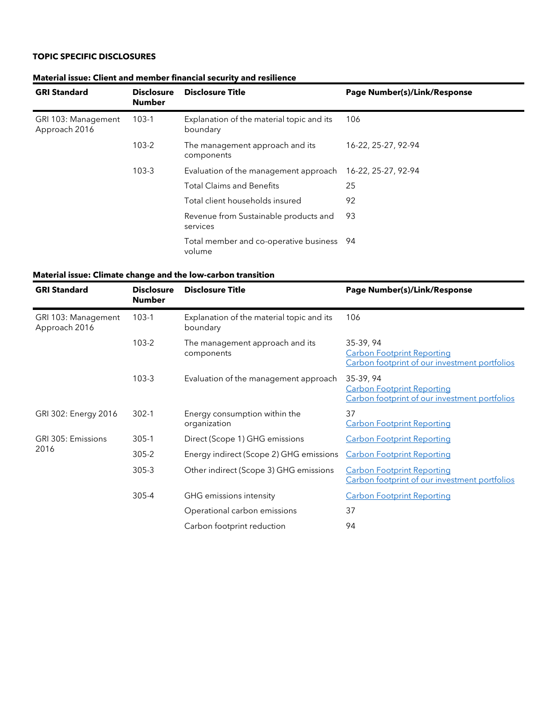## **TOPIC SPECIFIC DISCLOSURES**

| <b>GRI Standard</b>                  | <b>Disclosure</b><br><b>Number</b> | <b>Disclosure Title</b>                               | Page Number(s)/Link/Response |
|--------------------------------------|------------------------------------|-------------------------------------------------------|------------------------------|
| GRI 103: Management<br>Approach 2016 | $103-1$                            | Explanation of the material topic and its<br>boundary | 106                          |
|                                      | $103 - 2$                          | The management approach and its<br>components         | 16-22, 25-27, 92-94          |
|                                      | $103 - 3$                          | Evaluation of the management approach                 | 16-22, 25-27, 92-94          |
|                                      |                                    | <b>Total Claims and Benefits</b>                      | 25                           |
|                                      |                                    | Total client households insured                       | 92                           |
|                                      |                                    | Revenue from Sustainable products and<br>services     | 93                           |
|                                      |                                    | Total member and co-operative business 94<br>volume   |                              |

### **Material issue: Client and member financial security and resilience**

### **Material issue: Climate change and the low-carbon transition**

| <b>GRI Standard</b>                  | <b>Disclosure</b><br><b>Number</b> | <b>Disclosure Title</b>                               | Page Number(s)/Link/Response                                                                    |
|--------------------------------------|------------------------------------|-------------------------------------------------------|-------------------------------------------------------------------------------------------------|
| GRI 103: Management<br>Approach 2016 | $103-1$                            | Explanation of the material topic and its<br>boundary | 106                                                                                             |
|                                      | $103 - 2$                          | The management approach and its<br>components         | 35-39, 94<br><b>Carbon Footprint Reporting</b><br>Carbon footprint of our investment portfolios |
|                                      | $103-3$                            | Evaluation of the management approach                 | 35-39, 94<br><b>Carbon Footprint Reporting</b><br>Carbon footprint of our investment portfolios |
| GRI 302: Energy 2016                 | $302 - 1$                          | Energy consumption within the<br>organization         | 37<br><b>Carbon Footprint Reporting</b>                                                         |
| GRI 305: Emissions                   | $305 - 1$                          | Direct (Scope 1) GHG emissions                        | <b>Carbon Footprint Reporting</b>                                                               |
| 2016                                 | $305 - 2$                          | Energy indirect (Scope 2) GHG emissions               | <b>Carbon Footprint Reporting</b>                                                               |
|                                      | 305-3                              | Other indirect (Scope 3) GHG emissions                | <b>Carbon Footprint Reporting</b><br>Carbon footprint of our investment portfolios              |
|                                      | 305-4                              | GHG emissions intensity                               | <b>Carbon Footprint Reporting</b>                                                               |
|                                      |                                    | Operational carbon emissions                          | 37                                                                                              |
|                                      |                                    | Carbon footprint reduction                            | 94                                                                                              |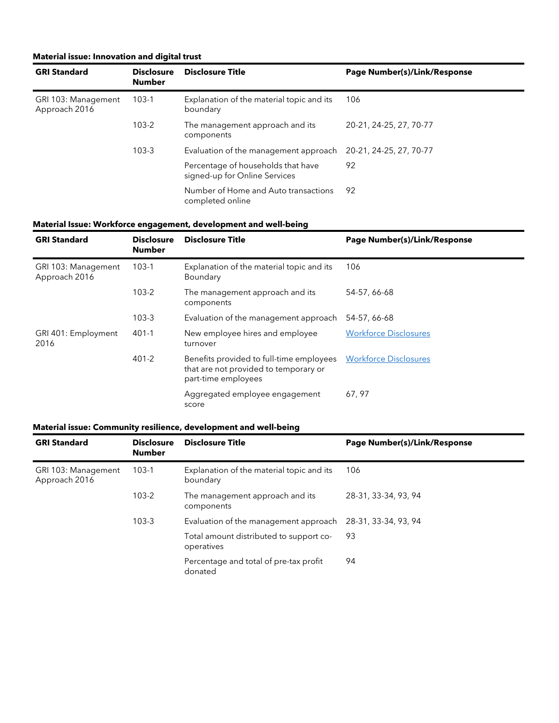### **Material issue: Innovation and digital trust**

| <b>GRI Standard</b>                  | <b>Disclosure</b><br><b>Number</b> | <b>Disclosure Title</b>                                             | Page Number(s)/Link/Response |
|--------------------------------------|------------------------------------|---------------------------------------------------------------------|------------------------------|
| GRI 103: Management<br>Approach 2016 | $103-1$                            | Explanation of the material topic and its<br>boundary               | 106                          |
|                                      | $103 - 2$                          | The management approach and its<br>components                       | 20-21, 24-25, 27, 70-77      |
|                                      | $103 - 3$                          | Evaluation of the management approach                               | 20-21, 24-25, 27, 70-77      |
|                                      |                                    | Percentage of households that have<br>signed-up for Online Services | 92                           |
|                                      |                                    | Number of Home and Auto transactions<br>completed online            | 92                           |

### **Material Issue: Workforce engagement, development and well-being**

| <b>GRI Standard</b>                  | <b>Disclosure</b><br><b>Number</b> | <b>Disclosure Title</b>                                                                                  | Page Number(s)/Link/Response |
|--------------------------------------|------------------------------------|----------------------------------------------------------------------------------------------------------|------------------------------|
| GRI 103: Management<br>Approach 2016 | $103-1$                            | Explanation of the material topic and its<br>Boundary                                                    | 106                          |
|                                      | $103 - 2$                          | The management approach and its<br>components                                                            | 54-57, 66-68                 |
|                                      | $103 - 3$                          | Evaluation of the management approach                                                                    | 54-57, 66-68                 |
| GRI 401: Employment<br>2016          | $401 - 1$                          | New employee hires and employee<br>turnover                                                              | <b>Workforce Disclosures</b> |
|                                      | $401 - 2$                          | Benefits provided to full-time employees<br>that are not provided to temporary or<br>part-time employees | <b>Workforce Disclosures</b> |
|                                      |                                    | Aggregated employee engagement<br>score                                                                  | 67, 97                       |

#### **Material issue: Community resilience, development and well-being**

| <b>GRI Standard</b>                  | <b>Disclosure</b><br><b>Number</b> | <b>Disclosure Title</b>                               | Page Number(s)/Link/Response |
|--------------------------------------|------------------------------------|-------------------------------------------------------|------------------------------|
| GRI 103: Management<br>Approach 2016 | $103-1$                            | Explanation of the material topic and its<br>boundary | 106                          |
|                                      | $103 - 2$                          | The management approach and its<br>components         | 28-31, 33-34, 93, 94         |
|                                      | $103 - 3$                          | Evaluation of the management approach                 | 28-31, 33-34, 93, 94         |
|                                      |                                    | Total amount distributed to support co-<br>operatives | 93                           |
|                                      |                                    | Percentage and total of pre-tax profit<br>donated     | 94                           |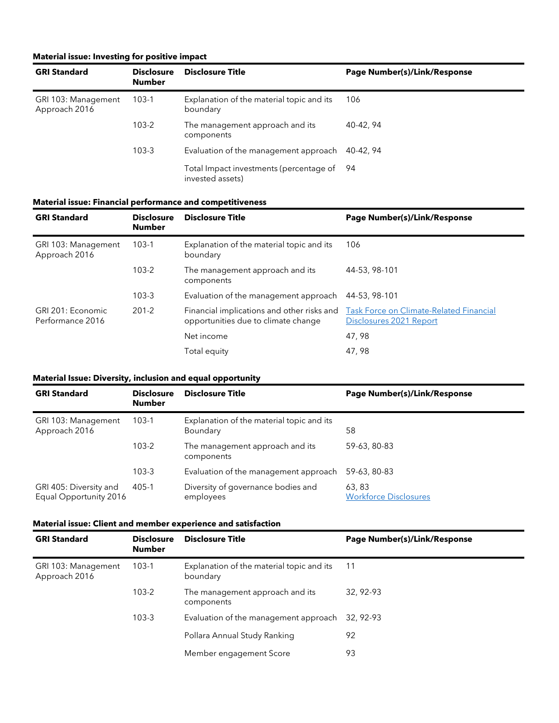### **Material issue: Investing for positive impact**

| <b>GRI Standard</b>                  | <b>Disclosure</b><br><b>Number</b> | <b>Disclosure Title</b>                                        | Page Number(s)/Link/Response |
|--------------------------------------|------------------------------------|----------------------------------------------------------------|------------------------------|
| GRI 103: Management<br>Approach 2016 | $103-1$                            | Explanation of the material topic and its<br>boundary          | 106                          |
|                                      | $103 - 2$                          | The management approach and its<br>components                  | 40-42, 94                    |
|                                      | $103 - 3$                          | Evaluation of the management approach                          | 40-42, 94                    |
|                                      |                                    | Total Impact investments (percentage of 94<br>invested assets) |                              |

### **Material issue: Financial performance and competitiveness**

| <b>GRI Standard</b>                   | <b>Disclosure</b><br><b>Number</b> | Disclosure Title                                                                  | Page Number(s)/Link/Response                                              |
|---------------------------------------|------------------------------------|-----------------------------------------------------------------------------------|---------------------------------------------------------------------------|
| GRI 103: Management<br>Approach 2016  | $103-1$                            | Explanation of the material topic and its<br>boundary                             | 106                                                                       |
|                                       | $103 - 2$                          | The management approach and its<br>components                                     | 44-53, 98-101                                                             |
|                                       | $103-3$                            | Evaluation of the management approach                                             | 44-53, 98-101                                                             |
| GRI 201: Economic<br>Performance 2016 | $201 - 2$                          | Financial implications and other risks and<br>opportunities due to climate change | <b>Task Force on Climate-Related Financial</b><br>Disclosures 2021 Report |
|                                       |                                    | Net income                                                                        | 47,98                                                                     |
|                                       |                                    | Total equity                                                                      | 47,98                                                                     |

### **Material Issue: Diversity, inclusion and equal opportunity**

| <b>GRI Standard</b>                              | <b>Disclosure</b><br><b>Number</b> | <b>Disclosure Title</b>                               | Page Number(s)/Link/Response           |
|--------------------------------------------------|------------------------------------|-------------------------------------------------------|----------------------------------------|
| GRI 103: Management<br>Approach 2016             | $103-1$                            | Explanation of the material topic and its<br>Boundary | 58                                     |
|                                                  | $103 - 2$                          | The management approach and its<br>components         | 59-63, 80-83                           |
|                                                  | $103 - 3$                          | Evaluation of the management approach                 | 59-63, 80-83                           |
| GRI 405: Diversity and<br>Equal Opportunity 2016 | 405-1                              | Diversity of governance bodies and<br>employees       | 63, 83<br><b>Workforce Disclosures</b> |

#### **Material issue: Client and member experience and satisfaction**

| <b>GRI Standard</b>                  | <b>Disclosure</b><br><b>Number</b> | <b>Disclosure Title</b>                               | Page Number(s)/Link/Response |
|--------------------------------------|------------------------------------|-------------------------------------------------------|------------------------------|
| GRI 103: Management<br>Approach 2016 | $103-1$                            | Explanation of the material topic and its<br>boundary | -11                          |
|                                      | $103 - 2$                          | The management approach and its<br>components         | 32, 92-93                    |
|                                      | $103 - 3$                          | Evaluation of the management approach                 | 32, 92-93                    |
|                                      |                                    | Pollara Annual Study Ranking                          | 92                           |
|                                      |                                    | Member engagement Score                               | 93                           |